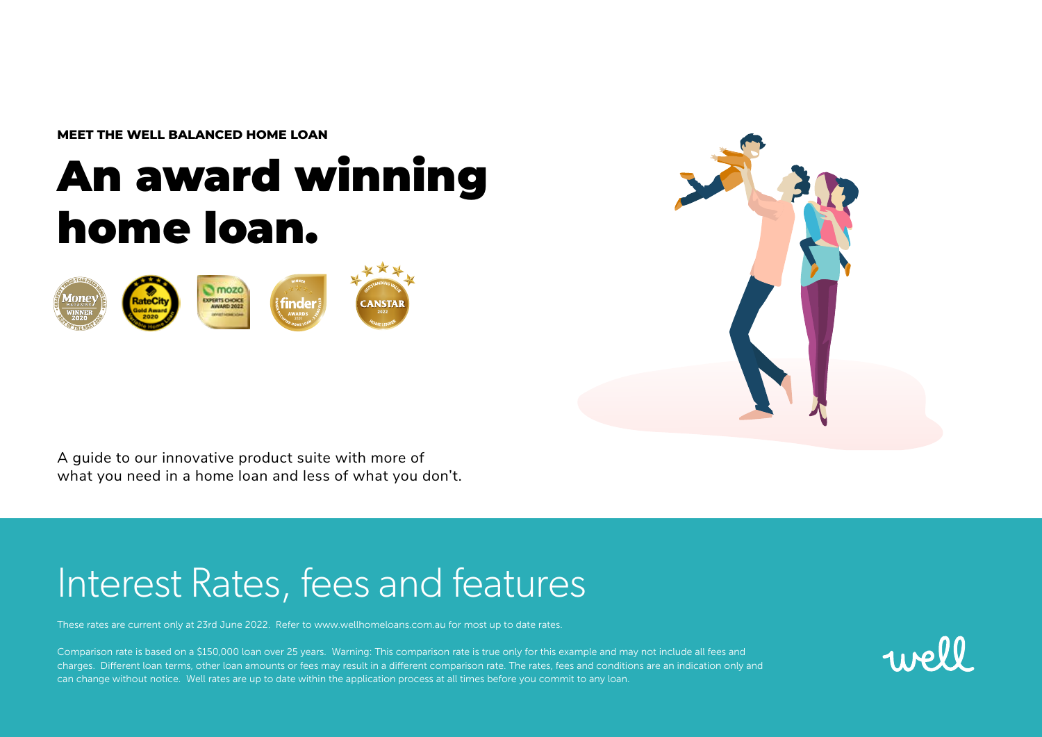**MEET THE WELL BALANCED HOME LOAN**

# An award winning home loan.





A guide to our innovative product suite with more of what you need in a home loan and less of what you don't.

## Interest Rates, fees and features

These rates are current only at 23rd June 2022. Refer to www.wellhomeloans.com.au for most up to date rates.

Comparison rate is based on a \$150,000 loan over 25 years. Warning: This comparison rate is true only for this example and may not include all fees and charges. Different loan terms, other loan amounts or fees may result in a different comparison rate. The rates, fees and conditions are an indication only and can change without notice. Well rates are up to date within the application process at all times before you commit to any loan.

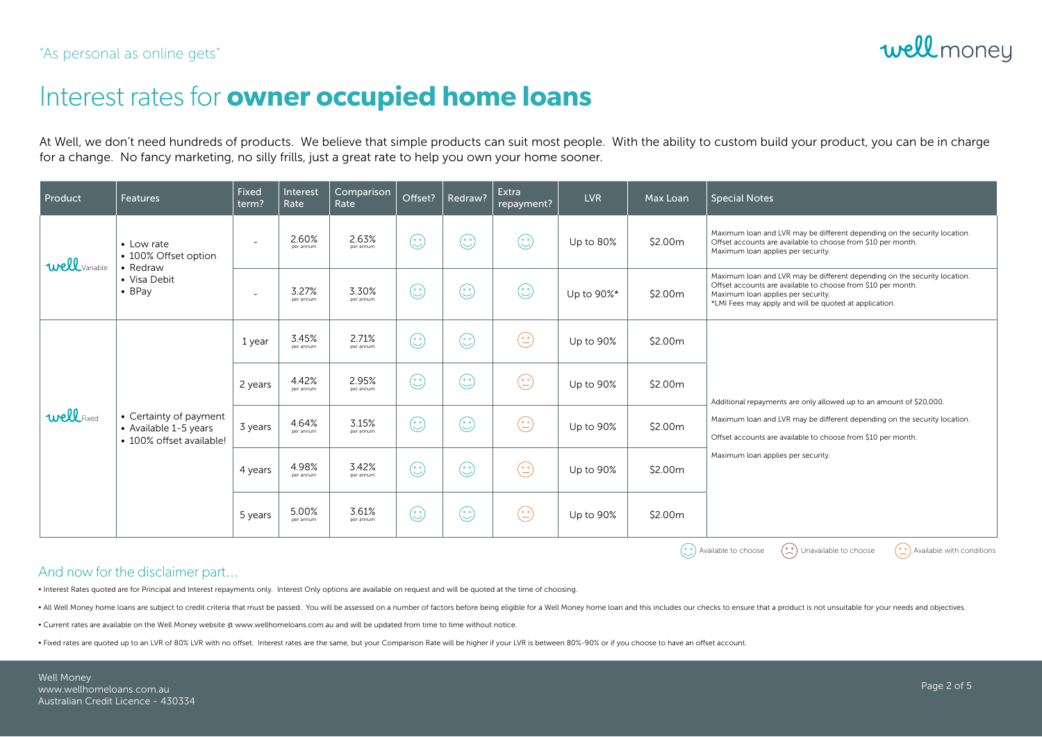

### Interest rates for **owner occupied home loans**

At Well, we don't need hundreds of products. We believe that simple products can suit most people. With the ability to custom build your product, you can be in charge for a change. No fancy marketing, no silly frills, just a great rate to help you own your home sooner.

| Product       | <b>Features</b>                                                                  | Fixed<br>term?           | Interest<br>Rate   | Comparison<br>Rate | Offset? | Redraw?      | Extra<br>repayment?                | <b>LVR</b> | Max Loan | <b>Special Notes</b>                                                                                                                                                                                                                                   |
|---------------|----------------------------------------------------------------------------------|--------------------------|--------------------|--------------------|---------|--------------|------------------------------------|------------|----------|--------------------------------------------------------------------------------------------------------------------------------------------------------------------------------------------------------------------------------------------------------|
| well Variable | • Low rate<br>• 100% Offset option<br>• Redraw<br>• Visa Debit<br>$\bullet$ BPay | $\overline{\phantom{a}}$ | 2.60%<br>per annum | 2.63%<br>per annum | $\odot$ | $\mathbb{C}$ | $\overset{\circ}{(\mathcal{C})}$   | Up to 80%  | \$2.00m  | Maximum loan and LVR may be different depending on the security location.<br>Offset accounts are available to choose from \$10 per month.<br>Maximum loan applies per security.                                                                        |
|               |                                                                                  | ٠                        | 3.27%<br>per annum | 3.30%<br>per annum | $\odot$ | $\odot$      | $\overset{\circ}{\mathbb{C}}$      | Up to 90%* | \$2.00m  | Maximum loan and LVR may be different depending on the security location.<br>Offset accounts are available to choose from \$10 per month.<br>Maximum loan applies per security.<br>*LMI Fees may apply and will be quoted at application.              |
| wellFixed     | • Certainty of payment<br>• Available 1-5 years<br>• 100% offset available!      | 1 year                   | 3.45%<br>per annum | 2.71%<br>per annum | ٩       | $\odot$      | $\left(\frac{\cdot}{\cdot}\right)$ | Up to 90%  | \$2.00m  | Additional repayments are only allowed up to an amount of \$20,000.<br>Maximum loan and LVR may be different depending on the security location.<br>Offset accounts are available to choose from \$10 per month.<br>Maximum loan applies per security. |
|               |                                                                                  | 2 years                  | 4.42%<br>per annum | 2.95%<br>per annum | $\odot$ | $\odot$      | $\left(\frac{\cdot}{\cdot}\right)$ | Up to 90%  | \$2.00m  |                                                                                                                                                                                                                                                        |
|               |                                                                                  | 3 years                  | 4.64%<br>per annum | 3.15%<br>per annum | $\odot$ | $\odot$      | $\odot$                            | Up to 90%  | \$2.00m  |                                                                                                                                                                                                                                                        |
|               |                                                                                  | 4 years                  | 4.98%<br>per annum | 3.42%<br>per annum | $\odot$ | $\odot$      | $\odot$                            | Up to 90%  | \$2.00m  |                                                                                                                                                                                                                                                        |
|               |                                                                                  | 5 years                  | 5.00%<br>per annum | 3.61%<br>per annum | $\odot$ | $\odot$      | $\odot$                            | Up to 90%  | \$2.00m  |                                                                                                                                                                                                                                                        |

 $\left(\begin{matrix}\odot\\ \odot\\ \odot\end{matrix}\right)$  Available to choose  $\left(\begin{matrix}\odot\\ \odot\\ \odot\end{matrix}\right)$  Available with conditions

#### And now for the disclaimer part...

• Interest Rates quoted are for Principal and Interest repayments only. Interest Only options are available on request and will be quoted at the time of choosing.

. All Well Money home loans are subject to credit criteria that must be passed. You will be assessed on a number of factors before being eligible for a Well Money home loan and this includes our checks to ensure that a pro

• Current rates are available on the Well Money website @ www.wellhomeloans.com.au and will be updated from time to time without notice.

• Fixed rates are quoted up to an LVR of 80% LVR with no offset. Interest rates are the same, but your Comparison Rate will be higher if your LVR is between 80%-90% or if you choose to have an offset account.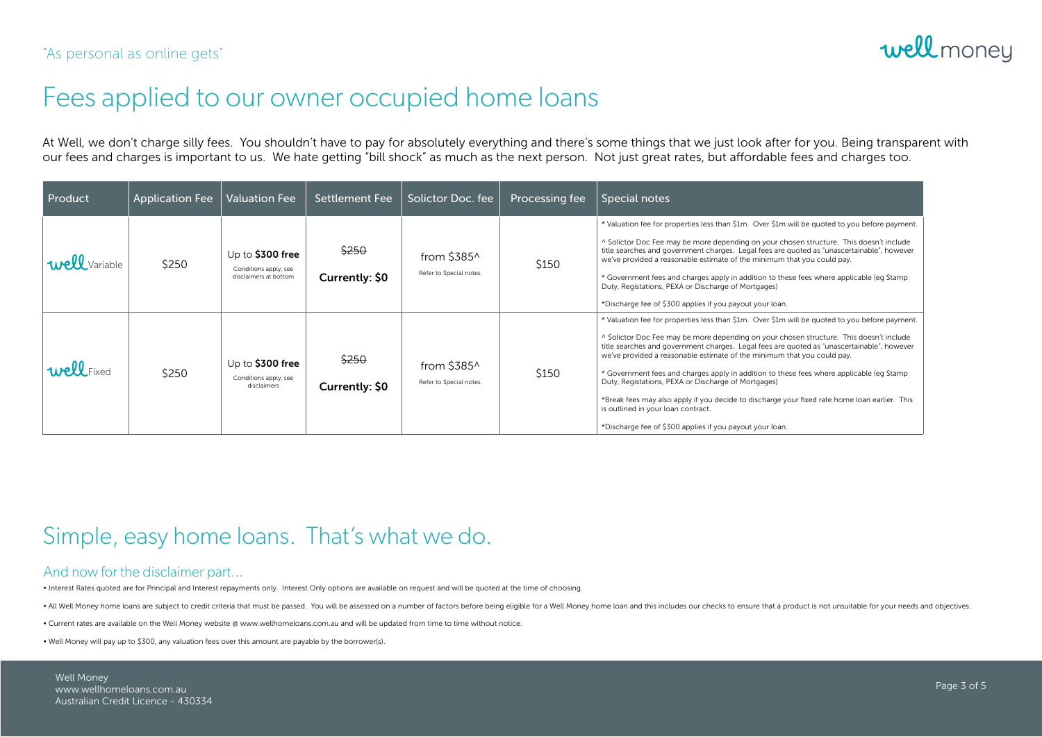

### Fees applied to our owner occupied home loans

At Well, we don't charge silly fees. You shouldn't have to pay for absolutely everything and there's some things that we just look after for you. Being transparent with our fees and charges is important to us. We hate getting "bill shock" as much as the next person. Not just great rates, but affordable fees and charges too.

| <b>Product</b>       | <b>Application Fee</b> | <b>Valuation Fee</b>                                                | <b>Settlement Fee</b>   | Solictor Doc. fee                              | Processing fee | Special notes                                                                                                                                                                                                                                                                                                                                                                                                                                                                                                                                                                                                                                                                                                            |
|----------------------|------------------------|---------------------------------------------------------------------|-------------------------|------------------------------------------------|----------------|--------------------------------------------------------------------------------------------------------------------------------------------------------------------------------------------------------------------------------------------------------------------------------------------------------------------------------------------------------------------------------------------------------------------------------------------------------------------------------------------------------------------------------------------------------------------------------------------------------------------------------------------------------------------------------------------------------------------------|
| <b>Well</b> Variable | \$250                  | Up to $$300$ free<br>Conditions apply, see<br>disclaimers at bottom | \$250<br>Currently: \$0 | from $$385^{\circ}$<br>Refer to Special notes. | \$150          | * Valuation fee for properties less than \$1m. Over \$1m will be quoted to you before payment.<br>^ Solictor Doc Fee may be more depending on your chosen structure. This doesn't include<br>title searches and government charges. Legal fees are quoted as "unascertainable", however<br>we've provided a reasonable estimate of the minimum that you could pay.<br>* Government fees and charges apply in addition to these fees where applicable (eq Stamp<br>Duty, Registations, PEXA or Discharge of Mortgages)<br>*Discharge fee of \$300 applies if you payout your loan.                                                                                                                                        |
| well Fixed           | \$250                  | Up to $$300$ free<br>Conditions apply, see<br>disclaimers           | \$250<br>Currently: \$0 | from $$385^{\circ}$<br>Refer to Special notes. | \$150          | * Valuation fee for properties less than \$1m. Over \$1m will be quoted to you before payment.<br>^ Solictor Doc Fee may be more depending on your chosen structure. This doesn't include<br>title searches and government charges. Legal fees are quoted as "unascertainable", however<br>we've provided a reasonable estimate of the minimum that you could pay.<br>* Government fees and charges apply in addition to these fees where applicable (eq Stamp<br>Duty, Registations, PEXA or Discharge of Mortgages)<br>*Break fees may also apply if you decide to discharge your fixed rate home loan earlier. This<br>is outlined in your loan contract.<br>*Discharge fee of \$300 applies if you payout your loan. |

### Simple, easy home loans. That's what we do.

#### And now for the disclaimer part...

• Interest Rates quoted are for Principal and Interest repayments only. Interest Only options are available on request and will be quoted at the time of choosing.

. All Well Money home loans are subject to credit criteria that must be passed. You will be assessed on a number of factors before being eligible for a Well Money home loan and this includes our checks to ensure that a pro

• Current rates are available on the Well Money website @ www.wellhomeloans.com.au and will be updated from time to time without notice.

• Well Money will pay up to \$300, any valuation fees over this amount are payable by the borrower(s).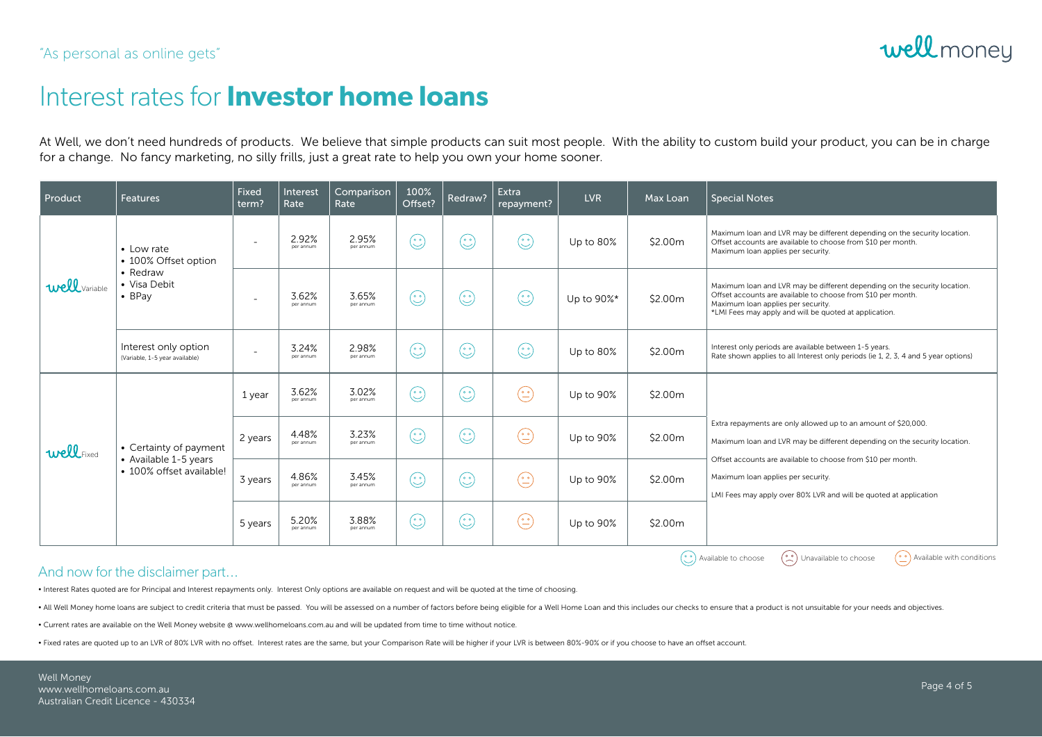### Interest rates for **Investor home loans**

At Well, we don't need hundreds of products. We believe that simple products can suit most people. With the ability to custom build your product, you can be in charge for a change. No fancy marketing, no silly frills, just a great rate to help you own your home sooner.

| Product                                                                                                                           | <b>Features</b>                                                                  | Fixed<br>term? | Interest<br>Rate   | Comparison<br>Rate | 100%<br>Offset? | Redraw? | Extra<br>repayment?                                                             | <b>LVR</b> | Max Loan | <b>Special Notes</b>                                                                                                                                                                                                                                                                                                   |
|-----------------------------------------------------------------------------------------------------------------------------------|----------------------------------------------------------------------------------|----------------|--------------------|--------------------|-----------------|---------|---------------------------------------------------------------------------------|------------|----------|------------------------------------------------------------------------------------------------------------------------------------------------------------------------------------------------------------------------------------------------------------------------------------------------------------------------|
| <b>Well</b> Variable                                                                                                              | • Low rate<br>• 100% Offset option<br>• Redraw<br>• Visa Debit<br>$\bullet$ BPay | ۰              | 2.92%<br>per annum | 2.95%<br>per annum | $\odot$         | $\odot$ | $\overset{\circ}{(\mathcal{C})}$                                                | Up to 80%  | \$2.00m  | Maximum loan and LVR may be different depending on the security location.<br>Offset accounts are available to choose from \$10 per month.<br>Maximum loan applies per security.                                                                                                                                        |
|                                                                                                                                   |                                                                                  | ٠              | 3.62%<br>per annum | 3.65%<br>per annum | $\odot$         | $\odot$ | $\overset{\circ}{(\mathcal{C})}$                                                | Up to 90%* | \$2.00m  | Maximum loan and LVR may be different depending on the security location.<br>Offset accounts are available to choose from \$10 per month.<br>Maximum loan applies per security.<br>*LMI Fees may apply and will be quoted at application.                                                                              |
|                                                                                                                                   | Interest only option<br>(Variable, 1-5 year available)                           | ÷              | 3.24%<br>per annum | 2.98%<br>per annum | $\odot$         | $\odot$ | $\overset{\circ}{(\mathcal{C})}$                                                | Up to 80%  | \$2.00m  | Interest only periods are available between 1-5 years.<br>Rate shown applies to all Interest only periods (ie 1, 2, 3, 4 and 5 year options)                                                                                                                                                                           |
| wellFixed                                                                                                                         | • Certainty of payment<br>• Available 1-5 years<br>• 100% offset available!      | 1 year         | 3.62%<br>per annum | 3.02%<br>per annum | $\odot$         | $\odot$ | $\left(\frac{\cdot}{\cdot}\right)$                                              | Up to 90%  | \$2.00m  | Extra repayments are only allowed up to an amount of \$20,000.<br>Maximum loan and LVR may be different depending on the security location.<br>Offset accounts are available to choose from \$10 per month.<br>Maximum loan applies per security.<br>LMI Fees may apply over 80% LVR and will be quoted at application |
|                                                                                                                                   |                                                                                  | 2 years        | 4.48%<br>per annum | 3.23%<br>per annum | $\odot$         | $\odot$ | $\odot$                                                                         | Up to 90%  | \$2.00m  |                                                                                                                                                                                                                                                                                                                        |
|                                                                                                                                   |                                                                                  | 3 years        | 4.86%<br>per annum | 3.45%<br>per annum | $\odot$         | $\odot$ | $\left(\begin{smallmatrix}\bullet & \bullet \ \bullet \end{smallmatrix}\right)$ | Up to 90%  | \$2.00m  |                                                                                                                                                                                                                                                                                                                        |
|                                                                                                                                   |                                                                                  | 5 years        | 5.20%<br>per annum | 3.88%<br>per annum | $\odot$         | $\odot$ | $\hat{\mathbb{C}}$                                                              | Up to 90%  | \$2.00m  |                                                                                                                                                                                                                                                                                                                        |
| $\binom{0.0}{0}$ Unavailable to choose<br>$\left(\frac{\circ}{\cdot}\right)$ Available with conditions<br>(°) Available to choose |                                                                                  |                |                    |                    |                 |         |                                                                                 |            |          |                                                                                                                                                                                                                                                                                                                        |

#### And now for the disclaimer part...

• Interest Rates quoted are for Principal and Interest repayments only. Interest Only options are available on request and will be quoted at the time of choosing.

. All Well Money home loans are subject to credit criteria that must be passed. You will be assessed on a number of factors before being eligible for a Well Home Loan and this includes our checks to ensure that a product i

• Current rates are available on the Well Money website @ www.wellhomeloans.com.au and will be updated from time to time without notice.

• Fixed rates are quoted up to an LVR of 80% LVR with no offset. Interest rates are the same, but your Comparison Rate will be higher if your LVR is between 80%-90% or if you choose to have an offset account.